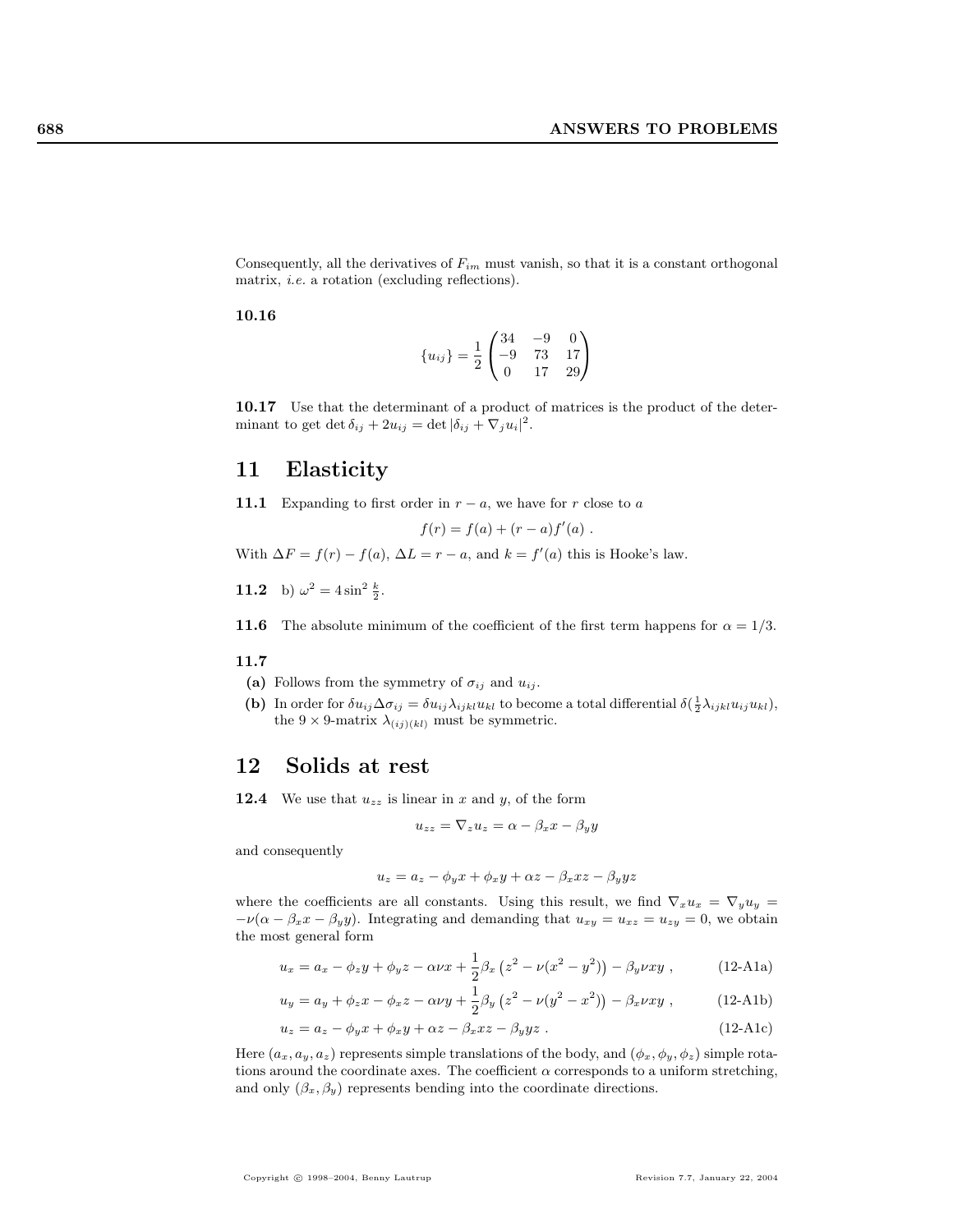Consequently, all the derivatives of  $F_{im}$  must vanish, so that it is a constant orthogonal matrix, i.e. a rotation (excluding reflections).

### 10.16

$$
\{u_{ij}\} = \frac{1}{2} \begin{pmatrix} 34 & -9 & 0 \\ -9 & 73 & 17 \\ 0 & 17 & 29 \end{pmatrix}
$$

10.17 Use that the determinant of a product of matrices is the product of the determinant to get det  $\delta_{ij} + 2u_{ij} = \det |\delta_{ij} + \nabla_j u_i|^2$ .

## 11 Elasticity

11.1 Expanding to first order in  $r - a$ , we have for r close to a

$$
f(r) = f(a) + (r - a) f'(a) .
$$

With  $\Delta F = f(r) - f(a)$ ,  $\Delta L = r - a$ , and  $k = f'(a)$  this is Hooke's law.

**11.2** b)  $\omega^2 = 4 \sin^2 \frac{k}{2}$ .

**11.6** The absolute minimum of the coefficient of the first term happens for  $\alpha = 1/3$ .

### 11.7

- (a) Follows from the symmetry of  $\sigma_{ij}$  and  $u_{ij}$ .
- (b) In order for  $\delta u_{ij} \Delta \sigma_{ij} = \delta u_{ij} \lambda_{ijkl} u_{kl}$  to become a total differential  $\delta(\frac{1}{2} \lambda_{ijkl} u_{ij} u_{kl}),$ the 9  $\times$  9-matrix  $\lambda_{(ij)(kl)}$  must be symmetric.

# 12 Solids at rest

**12.4** We use that  $u_{zz}$  is linear in x and y, of the form

$$
u_{zz} = \nabla_z u_z = \alpha - \beta_x x - \beta_y y
$$

and consequently

$$
u_z = a_z - \phi_y x + \phi_x y + \alpha z - \beta_x xz - \beta_y yz
$$

where the coefficients are all constants. Using this result, we find  $\nabla_x u_x = \nabla_y u_y$  $-\nu(\alpha - \beta_x x - \beta_y y)$ . Integrating and demanding that  $u_{xy} = u_{xz} = u_{zy} = 0$ , we obtain the most general form

$$
u_x = a_x - \phi_z y + \phi_y z - \alpha \nu x + \frac{1}{2} \beta_x (z^2 - \nu (x^2 - y^2)) - \beta_y \nu xy , \qquad (12\text{-A1a})
$$

$$
u_y = a_y + \phi_z x - \phi_x z - \alpha \nu y + \frac{1}{2} \beta_y (z^2 - \nu (y^2 - x^2)) - \beta_x \nu xy , \qquad (12\text{-A1b})
$$

$$
u_z = a_z - \phi_y x + \phi_x y + \alpha z - \beta_x xz - \beta_y yz . \qquad (12\text{-}Alc)
$$

Here  $(a_x, a_y, a_z)$  represents simple translations of the body, and  $(\phi_x, \phi_y, \phi_z)$  simple rotations around the coordinate axes. The coefficient  $\alpha$  corresponds to a uniform stretching, and only  $(\beta_x, \beta_y)$  represents bending into the coordinate directions.